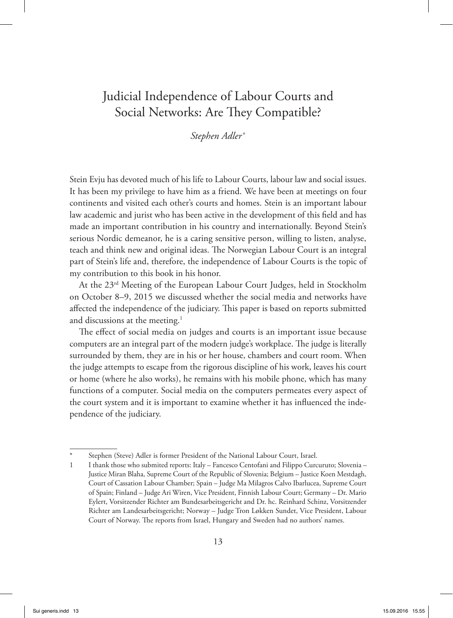# Judicial Independence of Labour Courts and Social Networks: Are They Compatible?

*Stephen Adler* <sup>∗</sup>

Stein Evju has devoted much of his life to Labour Courts, labour law and social issues. It has been my privilege to have him as a friend. We have been at meetings on four continents and visited each other's courts and homes. Stein is an important labour law academic and jurist who has been active in the development of this field and has made an important contribution in his country and internationally. Beyond Stein's serious Nordic demeanor, he is a caring sensitive person, willing to listen, analyse, teach and think new and original ideas. The Norwegian Labour Court is an integral part of Stein's life and, therefore, the independence of Labour Courts is the topic of my contribution to this book in his honor.

At the 23rd Meeting of the European Labour Court Judges, held in Stockholm on October 8–9, 2015 we discussed whether the social media and networks have affected the independence of the judiciary. This paper is based on reports submitted and discussions at the meeting.<sup>1</sup>

The effect of social media on judges and courts is an important issue because computers are an integral part of the modern judge's workplace. The judge is literally surrounded by them, they are in his or her house, chambers and court room. When the judge attempts to escape from the rigorous discipline of his work, leaves his court or home (where he also works), he remains with his mobile phone, which has many functions of a computer. Social media on the computers permeates every aspect of the court system and it is important to examine whether it has influenced the independence of the judiciary.

Stephen (Steve) Adler is former President of the National Labour Court, Israel.

<sup>1</sup> I thank those who submited reports: Italy – Fancesco Centofani and Filippo Curcuruto; Slovenia – Justice Miran Blaha, Supreme Court of the Republic of Slovenia; Belgium – Justice Koen Mestdagh, Court of Cassation Labour Chamber; Spain – Judge Ma Milagros Calvo Ibarlucea, Supreme Court of Spain; Finland – Judge Ari Wiren, Vice President, Finnish Labour Court; Germany – Dr. Mario Eylert, Vorsitzender Richter am Bundesarbeitsgericht and Dr. hc. Reinhard Schinz, Vorsitzender Richter am Landesarbeitsgericht; Norway – Judge Tron Løkken Sundet, Vice President, Labour Court of Norway. The reports from Israel, Hungary and Sweden had no authors' names.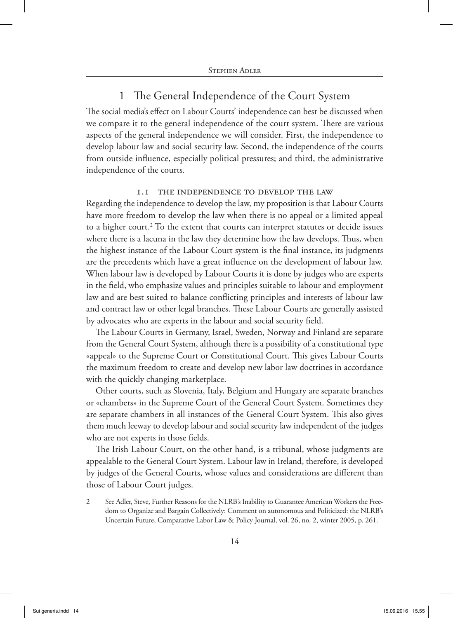# 1 The General Independence of the Court System

The social media's effect on Labour Courts' independence can best be discussed when we compare it to the general independence of the court system. There are various aspects of the general independence we will consider. First, the independence to develop labour law and social security law. Second, the independence of the courts from outside influence, especially political pressures; and third, the administrative independence of the courts.

### 1.1 The independence to develop the law

Regarding the independence to develop the law, my proposition is that Labour Courts have more freedom to develop the law when there is no appeal or a limited appeal to a higher court.<sup>2</sup> To the extent that courts can interpret statutes or decide issues where there is a lacuna in the law they determine how the law develops. Thus, when the highest instance of the Labour Court system is the final instance, its judgments are the precedents which have a great influence on the development of labour law. When labour law is developed by Labour Courts it is done by judges who are experts in the field, who emphasize values and principles suitable to labour and employment law and are best suited to balance conflicting principles and interests of labour law and contract law or other legal branches. These Labour Courts are generally assisted by advocates who are experts in the labour and social security field.

The Labour Courts in Germany, Israel, Sweden, Norway and Finland are separate from the General Court System, although there is a possibility of a constitutional type «appeal» to the Supreme Court or Constitutional Court. This gives Labour Courts the maximum freedom to create and develop new labor law doctrines in accordance with the quickly changing marketplace.

Other courts, such as Slovenia, Italy, Belgium and Hungary are separate branches or «chambers» in the Supreme Court of the General Court System. Sometimes they are separate chambers in all instances of the General Court System. This also gives them much leeway to develop labour and social security law independent of the judges who are not experts in those fields.

The Irish Labour Court, on the other hand, is a tribunal, whose judgments are appealable to the General Court System. Labour law in Ireland, therefore, is developed by judges of the General Courts, whose values and considerations are different than those of Labour Court judges.

<sup>2</sup> See Adler, Steve, Further Reasons for the NLRB's Inability to Guarantee American Workers the Freedom to Organize and Bargain Collectively: Comment on autonomous and Politicized: the NLRB's Uncertain Future, Comparative Labor Law & Policy Journal, vol. 26, no. 2, winter 2005, p. 261.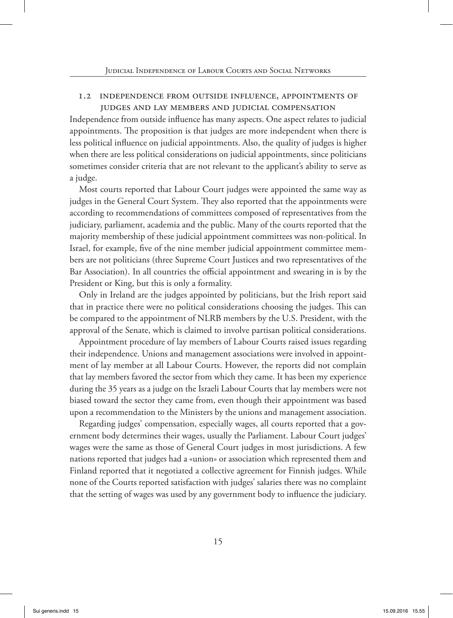### 1.2 Independence from outside influence, appointments of judges and lay members and judicial compensation

Independence from outside influence has many aspects. One aspect relates to judicial appointments. The proposition is that judges are more independent when there is less political influence on judicial appointments. Also, the quality of judges is higher when there are less political considerations on judicial appointments, since politicians sometimes consider criteria that are not relevant to the applicant's ability to serve as a judge.

Most courts reported that Labour Court judges were appointed the same way as judges in the General Court System. They also reported that the appointments were according to recommendations of committees composed of representatives from the judiciary, parliament, academia and the public. Many of the courts reported that the majority membership of these judicial appointment committees was non-political. In Israel, for example, five of the nine member judicial appointment committee members are not politicians (three Supreme Court Justices and two representatives of the Bar Association). In all countries the official appointment and swearing in is by the President or King, but this is only a formality.

Only in Ireland are the judges appointed by politicians, but the Irish report said that in practice there were no political considerations choosing the judges. This can be compared to the appointment of NLRB members by the U.S. President, with the approval of the Senate, which is claimed to involve partisan political considerations.

Appointment procedure of lay members of Labour Courts raised issues regarding their independence. Unions and management associations were involved in appointment of lay member at all Labour Courts. However, the reports did not complain that lay members favored the sector from which they came. It has been my experience during the 35 years as a judge on the Israeli Labour Courts that lay members were not biased toward the sector they came from, even though their appointment was based upon a recommendation to the Ministers by the unions and management association.

Regarding judges' compensation, especially wages, all courts reported that a government body determines their wages, usually the Parliament. Labour Court judges' wages were the same as those of General Court judges in most jurisdictions. A few nations reported that judges had a «union» or association which represented them and Finland reported that it negotiated a collective agreement for Finnish judges. While none of the Courts reported satisfaction with judges' salaries there was no complaint that the setting of wages was used by any government body to influence the judiciary.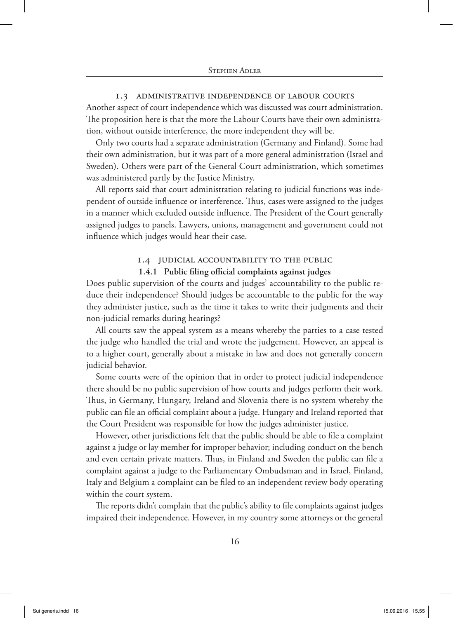### 1.3 Administrative independence of Labour Courts

Another aspect of court independence which was discussed was court administration. The proposition here is that the more the Labour Courts have their own administration, without outside interference, the more independent they will be.

Only two courts had a separate administration (Germany and Finland). Some had their own administration, but it was part of a more general administration (Israel and Sweden). Others were part of the General Court administration, which sometimes was administered partly by the Justice Ministry.

All reports said that court administration relating to judicial functions was independent of outside influence or interference. Thus, cases were assigned to the judges in a manner which excluded outside influence. The President of the Court generally assigned judges to panels. Lawyers, unions, management and government could not influence which judges would hear their case.

### 1.4 Judicial accountability to the public

### **1.4.1 Public filing official complaints against judges**

Does public supervision of the courts and judges' accountability to the public reduce their independence? Should judges be accountable to the public for the way they administer justice, such as the time it takes to write their judgments and their non-judicial remarks during hearings?

All courts saw the appeal system as a means whereby the parties to a case tested the judge who handled the trial and wrote the judgement. However, an appeal is to a higher court, generally about a mistake in law and does not generally concern judicial behavior.

Some courts were of the opinion that in order to protect judicial independence there should be no public supervision of how courts and judges perform their work. Thus, in Germany, Hungary, Ireland and Slovenia there is no system whereby the public can file an official complaint about a judge. Hungary and Ireland reported that the Court President was responsible for how the judges administer justice.

However, other jurisdictions felt that the public should be able to file a complaint against a judge or lay member for improper behavior; including conduct on the bench and even certain private matters. Thus, in Finland and Sweden the public can file a complaint against a judge to the Parliamentary Ombudsman and in Israel, Finland, Italy and Belgium a complaint can be filed to an independent review body operating within the court system.

The reports didn't complain that the public's ability to file complaints against judges impaired their independence. However, in my country some attorneys or the general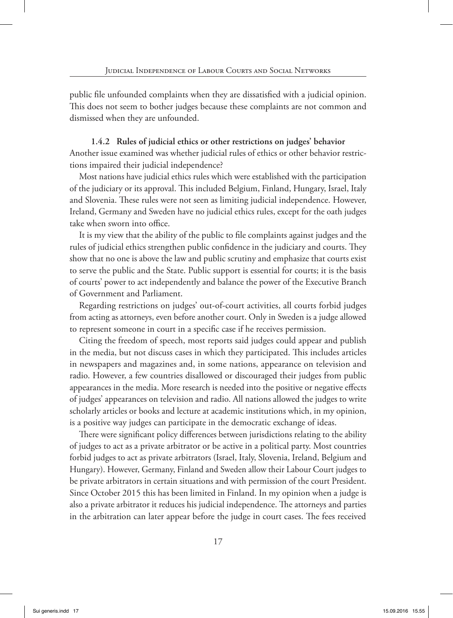public file unfounded complaints when they are dissatisfied with a judicial opinion. This does not seem to bother judges because these complaints are not common and dismissed when they are unfounded.

**1.4.2 Rules of judicial ethics or other restrictions on judges' behavior** Another issue examined was whether judicial rules of ethics or other behavior restrictions impaired their judicial independence?

Most nations have judicial ethics rules which were established with the participation of the judiciary or its approval. This included Belgium, Finland, Hungary, Israel, Italy and Slovenia. These rules were not seen as limiting judicial independence. However, Ireland, Germany and Sweden have no judicial ethics rules, except for the oath judges take when sworn into office.

It is my view that the ability of the public to file complaints against judges and the rules of judicial ethics strengthen public confidence in the judiciary and courts. They show that no one is above the law and public scrutiny and emphasize that courts exist to serve the public and the State. Public support is essential for courts; it is the basis of courts' power to act independently and balance the power of the Executive Branch of Government and Parliament.

Regarding restrictions on judges' out-of-court activities, all courts forbid judges from acting as attorneys, even before another court. Only in Sweden is a judge allowed to represent someone in court in a specific case if he receives permission.

Citing the freedom of speech, most reports said judges could appear and publish in the media, but not discuss cases in which they participated. This includes articles in newspapers and magazines and, in some nations, appearance on television and radio. However, a few countries disallowed or discouraged their judges from public appearances in the media. More research is needed into the positive or negative effects of judges' appearances on television and radio. All nations allowed the judges to write scholarly articles or books and lecture at academic institutions which, in my opinion, is a positive way judges can participate in the democratic exchange of ideas.

There were significant policy differences between jurisdictions relating to the ability of judges to act as a private arbitrator or be active in a political party. Most countries forbid judges to act as private arbitrators (Israel, Italy, Slovenia, Ireland, Belgium and Hungary). However, Germany, Finland and Sweden allow their Labour Court judges to be private arbitrators in certain situations and with permission of the court President. Since October 2015 this has been limited in Finland. In my opinion when a judge is also a private arbitrator it reduces his judicial independence. The attorneys and parties in the arbitration can later appear before the judge in court cases. The fees received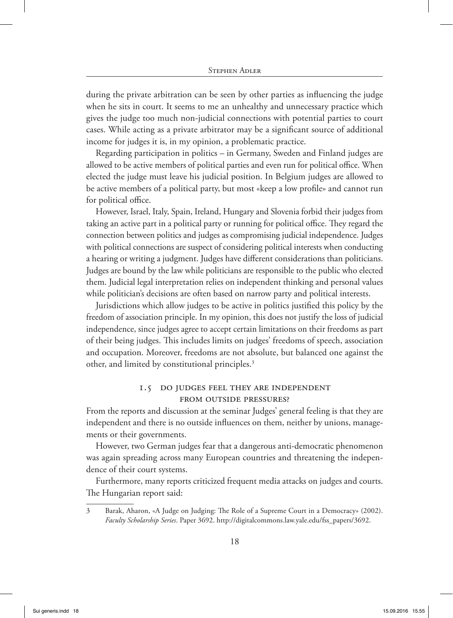during the private arbitration can be seen by other parties as influencing the judge when he sits in court. It seems to me an unhealthy and unnecessary practice which gives the judge too much non-judicial connections with potential parties to court cases. While acting as a private arbitrator may be a significant source of additional income for judges it is, in my opinion, a problematic practice.

Regarding participation in politics – in Germany, Sweden and Finland judges are allowed to be active members of political parties and even run for political office. When elected the judge must leave his judicial position. In Belgium judges are allowed to be active members of a political party, but most «keep a low profile» and cannot run for political office.

However, Israel, Italy, Spain, Ireland, Hungary and Slovenia forbid their judges from taking an active part in a political party or running for political office. They regard the connection between politics and judges as compromising judicial independence. Judges with political connections are suspect of considering political interests when conducting a hearing or writing a judgment. Judges have different considerations than politicians. Judges are bound by the law while politicians are responsible to the public who elected them. Judicial legal interpretation relies on independent thinking and personal values while politician's decisions are often based on narrow party and political interests.

Jurisdictions which allow judges to be active in politics justified this policy by the freedom of association principle. In my opinion, this does not justify the loss of judicial independence, since judges agree to accept certain limitations on their freedoms as part of their being judges. This includes limits on judges' freedoms of speech, association and occupation. Moreover, freedoms are not absolute, but balanced one against the other, and limited by constitutional principles.3

### 1.5 Do judges feel they are independent from outside pressures?

From the reports and discussion at the seminar Judges' general feeling is that they are independent and there is no outside influences on them, neither by unions, managements or their governments.

However, two German judges fear that a dangerous anti-democratic phenomenon was again spreading across many European countries and threatening the independence of their court systems.

Furthermore, many reports criticized frequent media attacks on judges and courts. The Hungarian report said:

<sup>3</sup> Barak, Aharon, «A Judge on Judging: The Role of a Supreme Court in a Democracy» (2002). *Faculty Scholarship Series*. Paper 3692. http://digitalcommons.law.yale.edu/fss\_papers/3692.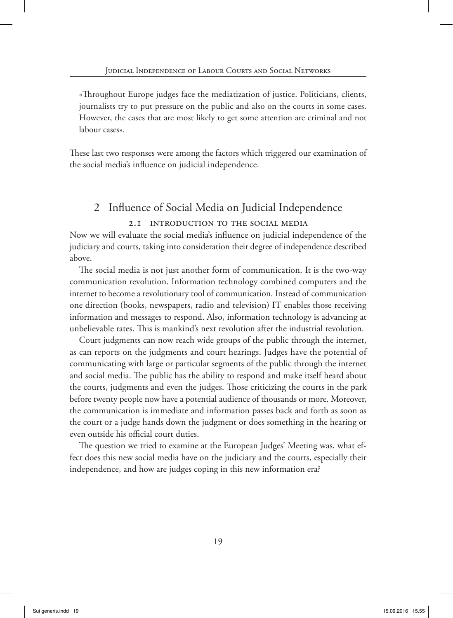«Throughout Europe judges face the mediatization of justice. Politicians, clients, journalists try to put pressure on the public and also on the courts in some cases. However, the cases that are most likely to get some attention are criminal and not labour cases».

These last two responses were among the factors which triggered our examination of the social media's influence on judicial independence.

# 2 Influence of Social Media on Judicial Independence

### 2.1 Introduction to the social media

Now we will evaluate the social media's influence on judicial independence of the judiciary and courts, taking into consideration their degree of independence described above.

The social media is not just another form of communication. It is the two-way communication revolution. Information technology combined computers and the internet to become a revolutionary tool of communication. Instead of communication one direction (books, newspapers, radio and television) IT enables those receiving information and messages to respond. Also, information technology is advancing at unbelievable rates. This is mankind's next revolution after the industrial revolution.

Court judgments can now reach wide groups of the public through the internet, as can reports on the judgments and court hearings. Judges have the potential of communicating with large or particular segments of the public through the internet and social media. The public has the ability to respond and make itself heard about the courts, judgments and even the judges. Those criticizing the courts in the park before twenty people now have a potential audience of thousands or more. Moreover, the communication is immediate and information passes back and forth as soon as the court or a judge hands down the judgment or does something in the hearing or even outside his official court duties.

The question we tried to examine at the European Judges' Meeting was, what effect does this new social media have on the judiciary and the courts, especially their independence, and how are judges coping in this new information era?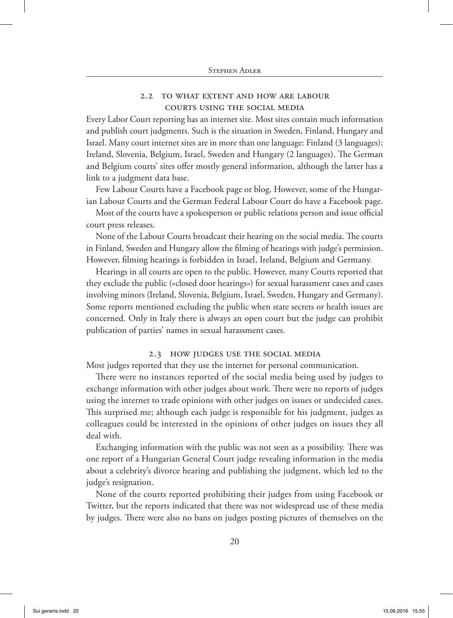### 2.2 To what extent and how are Labour Courts using the social media

Every Labor Court reporting has an internet site. Most sites contain much information and publish court judgments. Such is the situation in Sweden, Finland, Hungary and Israel. Many court internet sites are in more than one language: Finland (3 languages); Ireland, Slovenia, Belgium, Israel, Sweden and Hungary (2 languages). The German and Belgium courts' sites offer mostly general information, although the latter has a link to a judgment data base.

Few Labour Courts have a Facebook page or blog. However, some of the Hungarian Labour Courts and the German Federal Labour Court do have a Facebook page.

Most of the courts have a spokesperson or public relations person and issue official court press releases.

None of the Labour Courts broadcast their hearing on the social media. The courts in Finland, Sweden and Hungary allow the filming of hearings with judge's permission. However, filming hearings is forbidden in Israel, Ireland, Belgium and Germany.

Hearings in all courts are open to the public. However, many Courts reported that they exclude the public («closed door hearings») for sexual harassment cases and cases involving minors (Ireland, Slovenia, Belgium, Israel, Sweden, Hungary and Germany). Some reports mentioned excluding the public when state secrets or health issues are concerned. Only in Italy there is always an open court but the judge can prohibit publication of parties' names in sexual harassment cases.

### 2.3 How judges use the social media

Most judges reported that they use the internet for personal communication.

There were no instances reported of the social media being used by judges to exchange information with other judges about work. There were no reports of judges using the internet to trade opinions with other judges on issues or undecided cases. This surprised me; although each judge is responsible for his judgment, judges as colleagues could be interested in the opinions of other judges on issues they all deal with.

Exchanging information with the public was not seen as a possibility. There was one report of a Hungarian General Court judge revealing information in the media about a celebrity's divorce hearing and publishing the judgment, which led to the judge's resignation.

None of the courts reported prohibiting their judges from using Facebook or Twitter, but the reports indicated that there was not widespread use of these media by judges. There were also no bans on judges posting pictures of themselves on the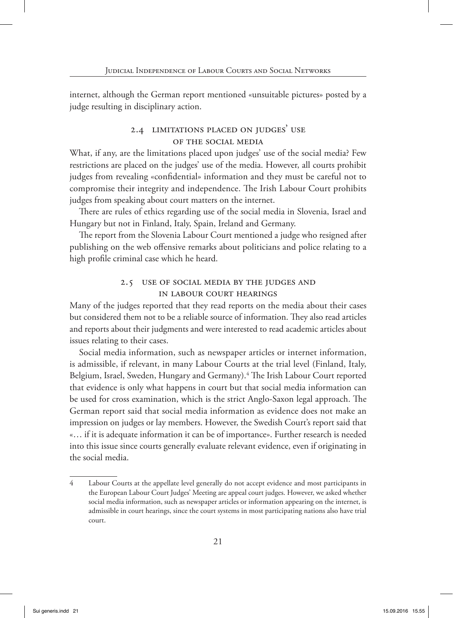internet, although the German report mentioned «unsuitable pictures» posted by a judge resulting in disciplinary action.

### 2.4 Limitations placed on judges' use of the social media

What, if any, are the limitations placed upon judges' use of the social media? Few restrictions are placed on the judges' use of the media. However, all courts prohibit judges from revealing «confidential» information and they must be careful not to compromise their integrity and independence. The Irish Labour Court prohibits judges from speaking about court matters on the internet.

There are rules of ethics regarding use of the social media in Slovenia, Israel and Hungary but not in Finland, Italy, Spain, Ireland and Germany.

The report from the Slovenia Labour Court mentioned a judge who resigned after publishing on the web offensive remarks about politicians and police relating to a high profile criminal case which he heard.

### 2.5 Use of social media by the judges and in Labour Court hearings

Many of the judges reported that they read reports on the media about their cases but considered them not to be a reliable source of information. They also read articles and reports about their judgments and were interested to read academic articles about issues relating to their cases.

Social media information, such as newspaper articles or internet information, is admissible, if relevant, in many Labour Courts at the trial level (Finland, Italy, Belgium, Israel, Sweden, Hungary and Germany).<sup>4</sup> The Irish Labour Court reported that evidence is only what happens in court but that social media information can be used for cross examination, which is the strict Anglo-Saxon legal approach. The German report said that social media information as evidence does not make an impression on judges or lay members. However, the Swedish Court's report said that «… if it is adequate information it can be of importance». Further research is needed into this issue since courts generally evaluate relevant evidence, even if originating in the social media.

<sup>4</sup> Labour Courts at the appellate level generally do not accept evidence and most participants in the European Labour Court Judges' Meeting are appeal court judges. However, we asked whether social media information, such as newspaper articles or information appearing on the internet, is admissible in court hearings, since the court systems in most participating nations also have trial court.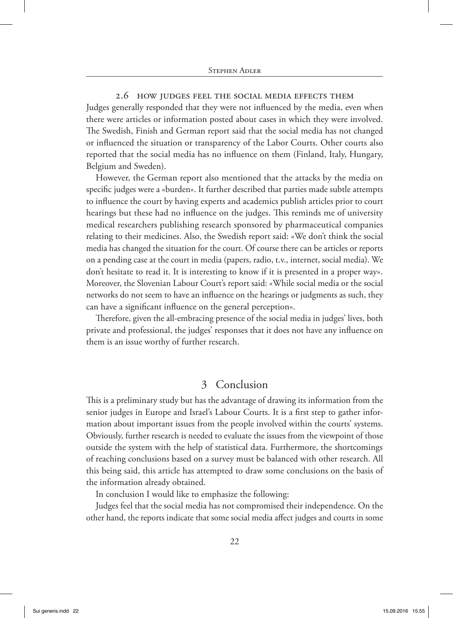2.6 How judges feel the social media effects them Judges generally responded that they were not influenced by the media, even when there were articles or information posted about cases in which they were involved. The Swedish, Finish and German report said that the social media has not changed or influenced the situation or transparency of the Labor Courts. Other courts also reported that the social media has no influence on them (Finland, Italy, Hungary, Belgium and Sweden).

However, the German report also mentioned that the attacks by the media on specific judges were a «burden». It further described that parties made subtle attempts to influence the court by having experts and academics publish articles prior to court hearings but these had no influence on the judges. This reminds me of university medical researchers publishing research sponsored by pharmaceutical companies relating to their medicines. Also, the Swedish report said: «We don't think the social media has changed the situation for the court. Of course there can be articles or reports on a pending case at the court in media (papers, radio, t.v., internet, social media). We don't hesitate to read it. It is interesting to know if it is presented in a proper way». Moreover, the Slovenian Labour Court's report said: «While social media or the social networks do not seem to have an influence on the hearings or judgments as such, they can have a significant influence on the general perception».

Therefore, given the all-embracing presence of the social media in judges' lives, both private and professional, the judges' responses that it does not have any influence on them is an issue worthy of further research.

## 3 Conclusion

This is a preliminary study but has the advantage of drawing its information from the senior judges in Europe and Israel's Labour Courts. It is a first step to gather information about important issues from the people involved within the courts' systems. Obviously, further research is needed to evaluate the issues from the viewpoint of those outside the system with the help of statistical data. Furthermore, the shortcomings of reaching conclusions based on a survey must be balanced with other research. All this being said, this article has attempted to draw some conclusions on the basis of the information already obtained.

In conclusion I would like to emphasize the following:

Judges feel that the social media has not compromised their independence. On the other hand, the reports indicate that some social media affect judges and courts in some